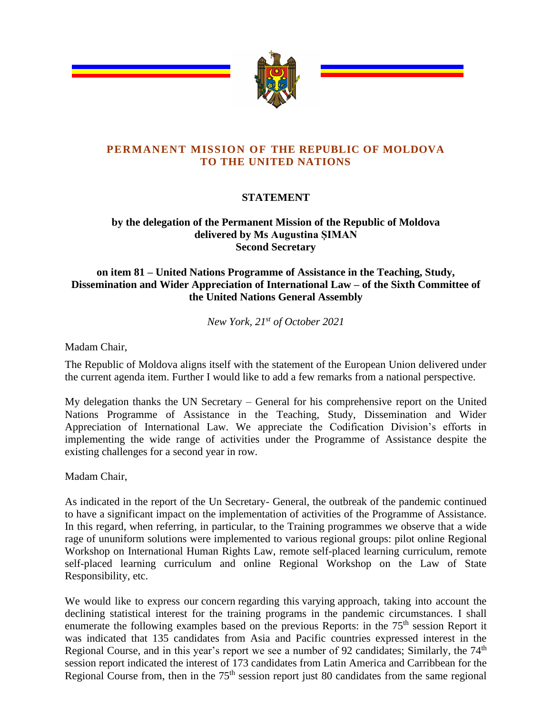

## **PERMANENT MISSION OF THE REPUBLIC OF MOLDOVA TO THE UNITED NATIONS**

## **STATEMENT**

## **by the delegation of the Permanent Mission of the Republic of Moldova delivered by Ms Augustina ȘIMAN Second Secretary**

## **on item 81 – United Nations Programme of Assistance in the Teaching, Study, Dissemination and Wider Appreciation of International Law – of the Sixth Committee of the United Nations General Assembly**

*New York, 21st of October 2021*

Madam Chair,

The Republic of Moldova aligns itself with the statement of the European Union delivered under the current agenda item. Further I would like to add a few remarks from a national perspective.

My delegation thanks the UN Secretary – General for his comprehensive report on the United Nations Programme of Assistance in the Teaching, Study, Dissemination and Wider Appreciation of International Law. We appreciate the Codification Division's efforts in implementing the wide range of activities under the Programme of Assistance despite the existing challenges for a second year in row.

Madam Chair,

As indicated in the report of the Un Secretary- General, the outbreak of the pandemic continued to have a significant impact on the implementation of activities of the Programme of Assistance. In this regard, when referring, in particular, to the Training programmes we observe that a wide rage of ununiform solutions were implemented to various regional groups: pilot online Regional Workshop on International Human Rights Law, remote self-placed learning curriculum, remote self-placed learning curriculum and online Regional Workshop on the Law of State Responsibility, etc.

We would like to express our concern regarding this varying approach, taking into account the declining statistical interest for the training programs in the pandemic circumstances. I shall enumerate the following examples based on the previous Reports: in the 75<sup>th</sup> session Report it was indicated that 135 candidates from Asia and Pacific countries expressed interest in the Regional Course, and in this year's report we see a number of 92 candidates; Similarly, the 74<sup>th</sup> session report indicated the interest of 173 candidates from Latin America and Carribbean for the Regional Course from, then in the 75<sup>th</sup> session report just 80 candidates from the same regional